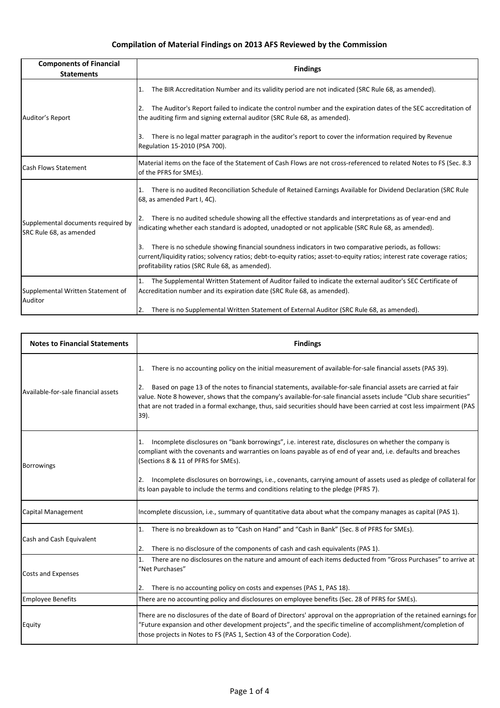| <b>Components of Financial</b><br><b>Statements</b>           | <b>Findings</b>                                                                                                                                                                                                                                                                          |
|---------------------------------------------------------------|------------------------------------------------------------------------------------------------------------------------------------------------------------------------------------------------------------------------------------------------------------------------------------------|
| Auditor's Report                                              | The BIR Accreditation Number and its validity period are not indicated (SRC Rule 68, as amended).<br>11.                                                                                                                                                                                 |
|                                                               | The Auditor's Report failed to indicate the control number and the expiration dates of the SEC accreditation of<br>2.<br>the auditing firm and signing external auditor (SRC Rule 68, as amended).                                                                                       |
|                                                               | There is no legal matter paragraph in the auditor's report to cover the information required by Revenue<br>Β.<br>Regulation 15-2010 (PSA 700).                                                                                                                                           |
| <b>Cash Flows Statement</b>                                   | Material items on the face of the Statement of Cash Flows are not cross-referenced to related Notes to FS (Sec. 8.3<br>of the PFRS for SMEs).                                                                                                                                            |
| Supplemental documents required by<br>SRC Rule 68, as amended | There is no audited Reconciliation Schedule of Retained Earnings Available for Dividend Declaration (SRC Rule<br>1.<br>68, as amended Part I, 4C).                                                                                                                                       |
|                                                               | There is no audited schedule showing all the effective standards and interpretations as of year-end and<br>I2.<br>indicating whether each standard is adopted, unadopted or not applicable (SRC Rule 68, as amended).                                                                    |
|                                                               | There is no schedule showing financial soundness indicators in two comparative periods, as follows:<br>3.<br>current/liquidity ratios; solvency ratios; debt-to-equity ratios; asset-to-equity ratios; interest rate coverage ratios;<br>profitability ratios (SRC Rule 68, as amended). |
| Supplemental Written Statement of<br>Auditor                  | The Supplemental Written Statement of Auditor failed to indicate the external auditor's SEC Certificate of<br>1.<br>Accreditation number and its expiration date (SRC Rule 68, as amended).                                                                                              |
|                                                               | There is no Supplemental Written Statement of External Auditor (SRC Rule 68, as amended).<br>2.                                                                                                                                                                                          |

| <b>Notes to Financial Statements</b> | <b>Findings</b>                                                                                                                                                                                                                                                                                                                                                                                                                                                                           |
|--------------------------------------|-------------------------------------------------------------------------------------------------------------------------------------------------------------------------------------------------------------------------------------------------------------------------------------------------------------------------------------------------------------------------------------------------------------------------------------------------------------------------------------------|
| Available-for-sale financial assets  | There is no accounting policy on the initial measurement of available-for-sale financial assets (PAS 39).<br>Based on page 13 of the notes to financial statements, available-for-sale financial assets are carried at fair<br>2.<br>value. Note 8 however, shows that the company's available-for-sale financial assets include "Club share securities"<br>that are not traded in a formal exchange, thus, said securities should have been carried at cost less impairment (PAS<br>39). |
| <b>Borrowings</b>                    | Incomplete disclosures on "bank borrowings", i.e. interest rate, disclosures on whether the company is<br>1.<br>compliant with the covenants and warranties on loans payable as of end of year and, i.e. defaults and breaches<br>(Sections 8 & 11 of PFRS for SMEs).<br>Incomplete disclosures on borrowings, i.e., covenants, carrying amount of assets used as pledge of collateral for<br>2.<br>its loan payable to include the terms and conditions relating to the pledge (PFRS 7). |
| Capital Management                   | Incomplete discussion, i.e., summary of quantitative data about what the company manages as capital (PAS 1).                                                                                                                                                                                                                                                                                                                                                                              |
| Cash and Cash Equivalent             | There is no breakdown as to "Cash on Hand" and "Cash in Bank" (Sec. 8 of PFRS for SMEs).<br>1.<br>There is no disclosure of the components of cash and cash equivalents (PAS 1).<br>2.                                                                                                                                                                                                                                                                                                    |
| <b>Costs and Expenses</b>            | There are no disclosures on the nature and amount of each items deducted from "Gross Purchases" to arrive at<br>1.<br>"Net Purchases"<br>There is no accounting policy on costs and expenses (PAS 1, PAS 18).<br>2.                                                                                                                                                                                                                                                                       |
| <b>Employee Benefits</b>             | There are no accounting policy and disclosures on employee benefits (Sec. 28 of PFRS for SMEs).                                                                                                                                                                                                                                                                                                                                                                                           |
| Equity                               | There are no disclosures of the date of Board of Directors' approval on the appropriation of the retained earnings for<br>"Future expansion and other development projects", and the specific timeline of accomplishment/completion of<br>those projects in Notes to FS (PAS 1, Section 43 of the Corporation Code).                                                                                                                                                                      |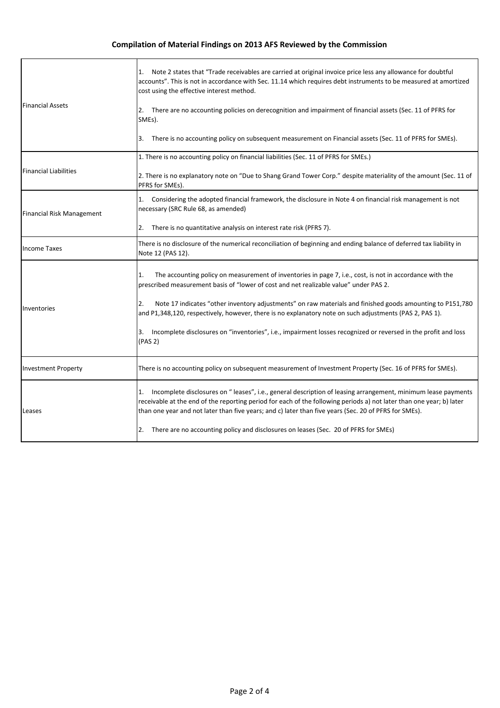| <b>Financial Assets</b>          | 1. Note 2 states that "Trade receivables are carried at original invoice price less any allowance for doubtful<br>accounts". This is not in accordance with Sec. 11.14 which requires debt instruments to be measured at amortized<br>cost using the effective interest method.                                                                  |
|----------------------------------|--------------------------------------------------------------------------------------------------------------------------------------------------------------------------------------------------------------------------------------------------------------------------------------------------------------------------------------------------|
|                                  | 2. There are no accounting policies on derecognition and impairment of financial assets (Sec. 11 of PFRS for<br>SMEs).                                                                                                                                                                                                                           |
|                                  | There is no accounting policy on subsequent measurement on Financial assets (Sec. 11 of PFRS for SMEs).<br>3.                                                                                                                                                                                                                                    |
| <b>Financial Liabilities</b>     | 1. There is no accounting policy on financial liabilities (Sec. 11 of PFRS for SMEs.)                                                                                                                                                                                                                                                            |
|                                  | 2. There is no explanatory note on "Due to Shang Grand Tower Corp." despite materiality of the amount (Sec. 11 of<br>PFRS for SMEs).                                                                                                                                                                                                             |
| <b>Financial Risk Management</b> | Considering the adopted financial framework, the disclosure in Note 4 on financial risk management is not<br>1.<br>necessary (SRC Rule 68, as amended)                                                                                                                                                                                           |
|                                  | There is no quantitative analysis on interest rate risk (PFRS 7).<br>2.                                                                                                                                                                                                                                                                          |
| <b>Income Taxes</b>              | There is no disclosure of the numerical reconciliation of beginning and ending balance of deferred tax liability in<br>Note 12 (PAS 12).                                                                                                                                                                                                         |
| Inventories                      | The accounting policy on measurement of inventories in page 7, i.e., cost, is not in accordance with the<br>1.<br>prescribed measurement basis of "lower of cost and net realizable value" under PAS 2.                                                                                                                                          |
|                                  | Note 17 indicates "other inventory adjustments" on raw materials and finished goods amounting to P151,780<br>2.<br>and P1,348,120, respectively, however, there is no explanatory note on such adjustments (PAS 2, PAS 1).                                                                                                                       |
|                                  | 3. Incomplete disclosures on "inventories", i.e., impairment losses recognized or reversed in the profit and loss<br>(PAS 2)                                                                                                                                                                                                                     |
| <b>Investment Property</b>       | There is no accounting policy on subsequent measurement of Investment Property (Sec. 16 of PFRS for SMEs).                                                                                                                                                                                                                                       |
| Leases                           | 1. Incomplete disclosures on "leases", i.e., general description of leasing arrangement, minimum lease payments<br>receivable at the end of the reporting period for each of the following periods a) not later than one year; b) later<br>than one year and not later than five years; and c) later than five years (Sec. 20 of PFRS for SMEs). |
|                                  | There are no accounting policy and disclosures on leases (Sec. 20 of PFRS for SMEs)<br>2.                                                                                                                                                                                                                                                        |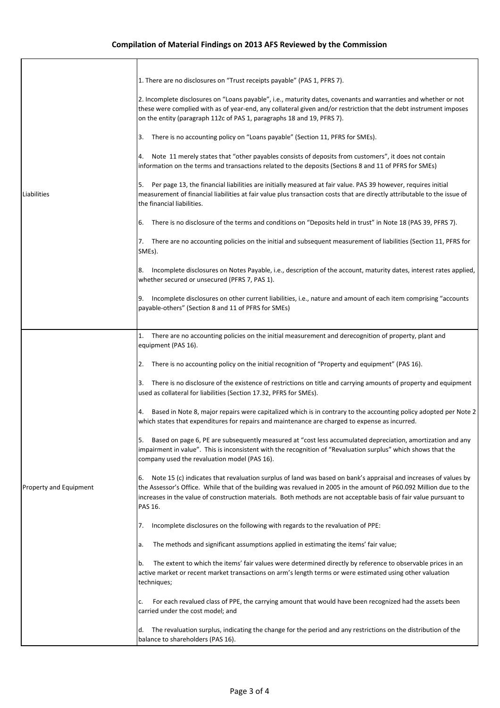| Liabilities            | 1. There are no disclosures on "Trust receipts payable" (PAS 1, PFRS 7).<br>2. Incomplete disclosures on "Loans payable", i.e., maturity dates, covenants and warranties and whether or not<br>these were complied with as of year-end, any collateral given and/or restriction that the debt instrument imposes<br>on the entity (paragraph 112c of PAS 1, paragraphs 18 and 19, PFRS 7).<br>There is no accounting policy on "Loans payable" (Section 11, PFRS for SMEs).<br>3.<br>Note 11 merely states that "other payables consists of deposits from customers", it does not contain<br>information on the terms and transactions related to the deposits (Sections 8 and 11 of PFRS for SMEs)<br>5. Per page 13, the financial liabilities are initially measured at fair value. PAS 39 however, requires initial<br>measurement of financial liabilities at fair value plus transaction costs that are directly attributable to the issue of<br>the financial liabilities.<br>There is no disclosure of the terms and conditions on "Deposits held in trust" in Note 18 (PAS 39, PFRS 7).<br>6.<br>There are no accounting policies on the initial and subsequent measurement of liabilities (Section 11, PFRS for<br>7.<br>SMEs).<br>Incomplete disclosures on Notes Payable, i.e., description of the account, maturity dates, interest rates applied,<br>8.<br>whether secured or unsecured (PFRS 7, PAS 1).<br>9. Incomplete disclosures on other current liabilities, i.e., nature and amount of each item comprising "accounts<br>payable-others" (Section 8 and 11 of PFRS for SMEs)                                                                                                                                                                                                                                                                                                                                                                                                                                                                                        |
|------------------------|-------------------------------------------------------------------------------------------------------------------------------------------------------------------------------------------------------------------------------------------------------------------------------------------------------------------------------------------------------------------------------------------------------------------------------------------------------------------------------------------------------------------------------------------------------------------------------------------------------------------------------------------------------------------------------------------------------------------------------------------------------------------------------------------------------------------------------------------------------------------------------------------------------------------------------------------------------------------------------------------------------------------------------------------------------------------------------------------------------------------------------------------------------------------------------------------------------------------------------------------------------------------------------------------------------------------------------------------------------------------------------------------------------------------------------------------------------------------------------------------------------------------------------------------------------------------------------------------------------------------------------------------------------------------------------------------------------------------------------------------------------------------------------------------------------------------------------------------------------------------------------------------------------------------------------------------------------------------------------------------------------------------------------------------------------------------------------------------|
| Property and Equipment | 1. There are no accounting policies on the initial measurement and derecognition of property, plant and<br>equipment (PAS 16).<br>There is no accounting policy on the initial recognition of "Property and equipment" (PAS 16).<br>2.<br>3. There is no disclosure of the existence of restrictions on title and carrying amounts of property and equipment<br>used as collateral for liabilities (Section 17.32, PFRS for SMEs).<br>4. Based in Note 8, major repairs were capitalized which is in contrary to the accounting policy adopted per Note 2<br>which states that expenditures for repairs and maintenance are charged to expense as incurred.<br>Based on page 6, PE are subsequently measured at "cost less accumulated depreciation, amortization and any<br>5.<br>impairment in value". This is inconsistent with the recognition of "Revaluation surplus" which shows that the<br>company used the revaluation model (PAS 16).<br>Note 15 (c) indicates that revaluation surplus of land was based on bank's appraisal and increases of values by<br>6.<br>the Assessor's Office. While that of the building was revalued in 2005 in the amount of P60.092 Million due to the<br>increases in the value of construction materials. Both methods are not acceptable basis of fair value pursuant to<br>PAS 16.<br>Incomplete disclosures on the following with regards to the revaluation of PPE:<br>7.<br>The methods and significant assumptions applied in estimating the items' fair value;<br>а.<br>The extent to which the items' fair values were determined directly by reference to observable prices in an<br>b.<br>active market or recent market transactions on arm's length terms or were estimated using other valuation<br>techniques;<br>For each revalued class of PPE, the carrying amount that would have been recognized had the assets been<br>c.<br>carried under the cost model; and<br>The revaluation surplus, indicating the change for the period and any restrictions on the distribution of the<br>d.<br>balance to shareholders (PAS 16). |